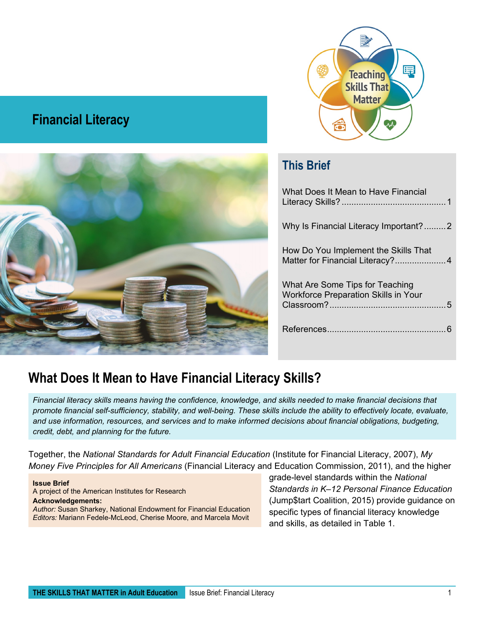

#### **Financial Literacy**



#### **This Brief**

| What Does It Mean to Have Financial                                            |
|--------------------------------------------------------------------------------|
| Why Is Financial Literacy Important?2                                          |
| How Do You Implement the Skills That<br>Matter for Financial Literacy?4        |
| What Are Some Tips for Teaching<br><b>Workforce Preparation Skills in Your</b> |
|                                                                                |

#### <span id="page-0-0"></span>**What Does It Mean to Have Financial Literacy Skills?**

*Financial literacy skills means having the confidence, knowledge, and skills needed to make financial decisions that promote financial self-sufficiency, stability, and well-being. These skills include the ability to effectively locate, evaluate, and use information, resources, and services and to make informed decisions about financial obligations, budgeting, credit, debt, and planning for the future.*

Together, the *[National Standards for Adult Financial Education](https://financiallit.org/wordpress/resources/national-standards/)* (Institute for Financial Literacy, 2007), *[My](https://www.mymoney.gov/mymoneyfive/Pages/mymoneyfive.aspx)  [Money Five Principles](https://www.mymoney.gov/mymoneyfive/Pages/mymoneyfive.aspx) for All Americans* (Financial Literacy and Education Commission, 2011), and the higher

**Issue Brief** A project of the American Institutes for Research **Acknowledgements:** *Author:* Susan Sharkey, National Endowment for Financial Education *Editors:* Mariann Fedele-McLeod, Cherise Moore, and Marcela Movit

grade-level standards within the *[National](https://www.jumpstart.org/what-we-do/support-financial-education/standards/)  [Standards in K–12 Personal Finance Education](https://www.jumpstart.org/what-we-do/support-financial-education/standards/)* (Jump\$tart Coalition, 2015) provide guidance on specific types of financial literacy knowledge and skills, as detailed in Table 1.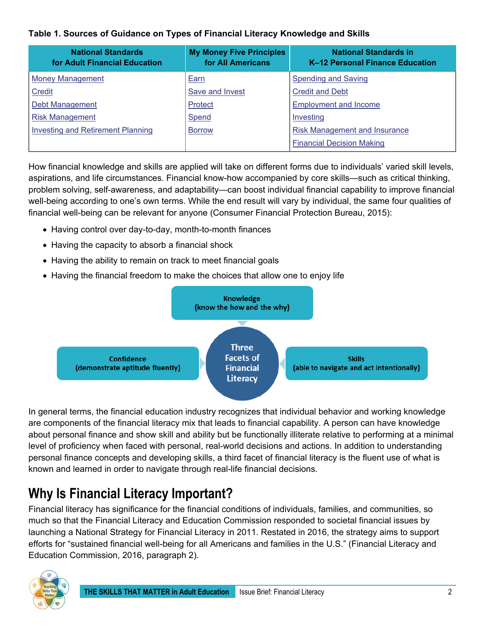#### **Table 1. Sources of Guidance on Types of Financial Literacy Knowledge and Skills**

| <b>National Standards</b><br>for Adult Financial Education | <b>My Money Five Principles</b><br>for All Americans | <b>National Standards in</b><br>K-12 Personal Finance Education |
|------------------------------------------------------------|------------------------------------------------------|-----------------------------------------------------------------|
| <b>Money Management</b>                                    | Earn                                                 | <b>Spending and Saving</b>                                      |
| <b>Credit</b>                                              | Save and Invest                                      | <b>Credit and Debt</b>                                          |
| Debt Management                                            | <b>Protect</b>                                       | <b>Employment and Income</b>                                    |
| <b>Risk Management</b>                                     | Spend                                                | Investing                                                       |
| Investing and Retirement Planning                          | <b>Borrow</b>                                        | <b>Risk Management and Insurance</b>                            |
|                                                            |                                                      | <b>Financial Decision Making</b>                                |

How financial knowledge and skills are applied will take on different forms due to individuals' varied skill levels, aspirations, and life circumstances. Financial know-how accompanied by core skills—such as critical thinking, problem solving, self-awareness, and adaptability—can boost individual financial capability to improve financial well-being according to one's own terms. While the end result will vary by individual, the same four qualities of financial well-being can be relevant for anyone (Consumer Financial Protection Bureau, 2015):

- Having control over day-to-day, month-to-month finances
- Having the capacity to absorb a financial shock
- Having the ability to remain on track to meet financial goals
- Having the financial freedom to make the choices that allow one to enjoy life



In general terms, the financial education industry recognizes that individual behavior and working knowledge are components of the financial literacy mix that leads to financial capability. A person can have knowledge about personal finance and show skill and ability but be functionally illiterate relative to performing at a minimal level of proficiency when faced with personal, real-world decisions and actions. In addition to understanding personal finance concepts and developing skills, a third facet of financial literacy is the fluent use of what is known and learned in order to navigate through real-life financial decisions.

# <span id="page-1-0"></span>**Why Is Financial Literacy Important?**

Financial literacy has significance for the financial conditions of individuals, families, and communities, so much so that the Financial Literacy and Education Commission responded to societal financial issues by launching a National Strategy for Financial Literacy in 2011. Restated in 2016, the strategy aims to support efforts for "sustained financial well-being for all Americans and families in the U.S." (Financial Literacy and Education Commission, 2016, paragraph 2).

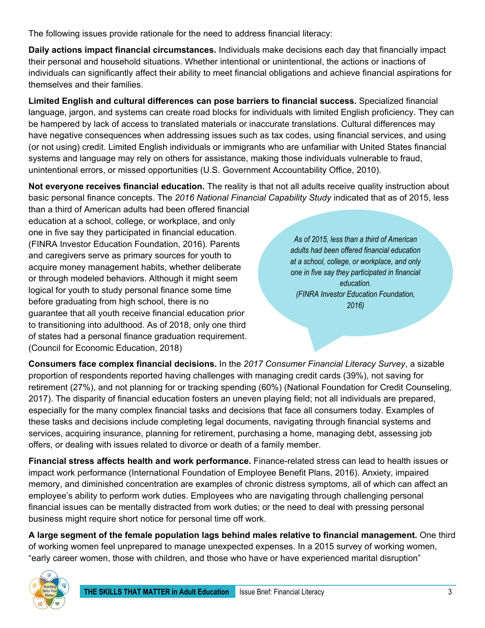The following issues provide rationale for the need to address financial literacy:

**Daily actions impact financial circumstances.** Individuals make decisions each day that financially impact their personal and household situations. Whether intentional or unintentional, the actions or inactions of individuals can significantly affect their ability to meet financial obligations and achieve financial aspirations for themselves and their families.

**Limited English and cultural differences can pose barriers to financial success.** Specialized financial language, jargon, and systems can create road blocks for individuals with limited English proficiency. They can be hampered by lack of access to translated materials or inaccurate translations. Cultural differences may have negative consequences when addressing issues such as tax codes, using financial services, and using (or not using) credit. Limited English individuals or immigrants who are unfamiliar with United States financial systems and language may rely on others for assistance, making those individuals vulnerable to fraud, unintentional errors, or missed opportunities (U.S. Government Accountability Office, 2010).

**Not everyone receives financial education.** The reality is that not all adults receive quality instruction about basic personal finance concepts. The *2016 National Financial Capability Study* indicated that as of 2015, less than a third of American adults had been offered financial

education at a school, college, or workplace, and only one in five say they participated in financial education. (FINRA Investor Education Foundation, 2016). Parents and caregivers serve as primary sources for youth to acquire money management habits, whether deliberate or through modeled behaviors. Although it might seem logical for youth to study personal finance some time before graduating from high school, there is no guarantee that all youth receive financial education prior to transitioning into adulthood. As of 2018, only one third of states had a personal finance graduation requirement. [\(Council for Economic Education,](https://www.councilforeconed.org/policy-and-advocacy/survey-of-the-states-2/) 2018)

*As of 2015, less than a third of American adults had been offered financial education at a school, college, or workplace, and only one in five say they participated in financial education. (FINRA Investor Education Foundation, 2016)*

**Consumers face complex financial decisions.** In the *2017 Consumer Financial Literacy Survey*, a sizable proportion of respondents reported having challenges with managing credit cards (39%), not saving for retirement (27%), and not planning for or tracking spending (60%) [\(National Foundation for Credit Counseling,](https://www.nfcc.org/clientimpact/2017-financial-literacy-survey/) 2017). The disparity of financial education fosters an uneven playing field; not all individuals are prepared, especially for the many complex financial tasks and decisions that face all consumers today. Examples of these tasks and decisions include completing legal documents, navigating through financial systems and services, acquiring insurance, planning for retirement, purchasing a home, managing debt, assessing job offers, or dealing with issues related to divorce or death of a family member.

**Financial stress affects health and work performance.** Finance-related stress can lead to health issues or impact work performance [\(International Foundation of Employee Benefit Plans,](https://www.ifebp.org/bookstore/financial-education-2016-survey-results/Pages/financial-education-for-todays-workplace-2016-survey-results.aspx) 2016). Anxiety, impaired memory, and diminished concentration are examples of chronic distress symptoms, all of which can affect an employee's ability to perform work duties. Employees who are navigating through challenging personal financial issues can be mentally distracted from work duties; or the need to deal with pressing personal business might require short notice for personal time off work.

**A large segment of the female population lags behind males relative to financial management.** One third of working women feel unprepared to manage unexpected expenses. In a 2015 survey of working women, "early career women, those with children, and those who have or have experienced marital disruption"

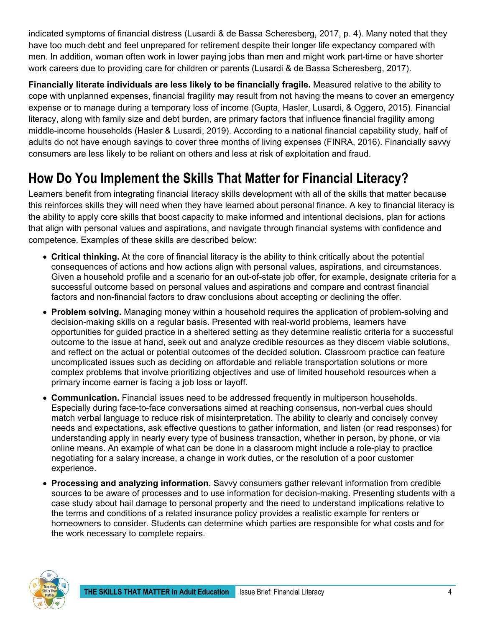indicated symptoms of financial distress (Lusardi & de Bassa Scheresberg, 2017, p. 4). Many noted that they have too much debt and feel unprepared for retirement despite their longer life expectancy compared with men. In addition, woman often work in lower paying jobs than men and might work part-time or have shorter work careers due to providing care for children or parents (Lusardi & de Bassa Scheresberg, 2017).

**Financially literate individuals are less likely to be financially fragile.** Measured relative to the ability to cope with unplanned expenses, financial fragility may result from not having the means to cover an emergency expense or to manage during a temporary loss of income (Gupta, Hasler, Lusardi, & Oggero, 2015). Financial literacy, along with family size and debt burden, are primary factors that influence financial fragility among middle-income households (Hasler & Lusardi, 2019). According to a national financial capability study, half of adults do not have enough savings to cover three months of living expenses (FINRA, 2016). Financially savvy consumers are less likely to be reliant on others and less at risk of exploitation and fraud.

## <span id="page-3-0"></span>**How Do You Implement the Skills That Matter for Financial Literacy?**

Learners benefit from integrating financial literacy skills development with all of the skills that matter because this reinforces skills they will need when they have learned about personal finance. A key to financial literacy is the ability to apply core skills that boost capacity to make informed and intentional decisions, plan for actions that align with personal values and aspirations, and navigate through financial systems with confidence and competence. Examples of these skills are described below:

- **Critical thinking.** At the core of financial literacy is the ability to think critically about the potential consequences of actions and how actions align with personal values, aspirations, and circumstances. Given a household profile and a scenario for an out-of-state job offer, for example, designate criteria for a successful outcome based on personal values and aspirations and compare and contrast financial factors and non-financial factors to draw conclusions about accepting or declining the offer.
- **Problem solving.** Managing money within a household requires the application of problem-solving and decision-making skills on a regular basis. Presented with real-world problems, learners have opportunities for guided practice in a sheltered setting as they determine realistic criteria for a successful outcome to the issue at hand, seek out and analyze credible resources as they discern viable solutions, and reflect on the actual or potential outcomes of the decided solution. Classroom practice can feature uncomplicated issues such as deciding on affordable and reliable transportation solutions or more complex problems that involve prioritizing objectives and use of limited household resources when a primary income earner is facing a job loss or layoff.
- **Communication.** Financial issues need to be addressed frequently in multiperson households. Especially during face-to-face conversations aimed at reaching consensus, non-verbal cues should match verbal language to reduce risk of misinterpretation. The ability to clearly and concisely convey needs and expectations, ask effective questions to gather information, and listen (or read responses) for understanding apply in nearly every type of business transaction, whether in person, by phone, or via online means. An example of what can be done in a classroom might include a role-play to practice negotiating for a salary increase, a change in work duties, or the resolution of a poor customer experience.
- **Processing and analyzing information.** Savvy consumers gather relevant information from credible sources to be aware of processes and to use information for decision-making. Presenting students with a case study about hail damage to personal property and the need to understand implications relative to the terms and conditions of a related insurance policy provides a realistic example for renters or homeowners to consider. Students can determine which parties are responsible for what costs and for the work necessary to complete repairs.

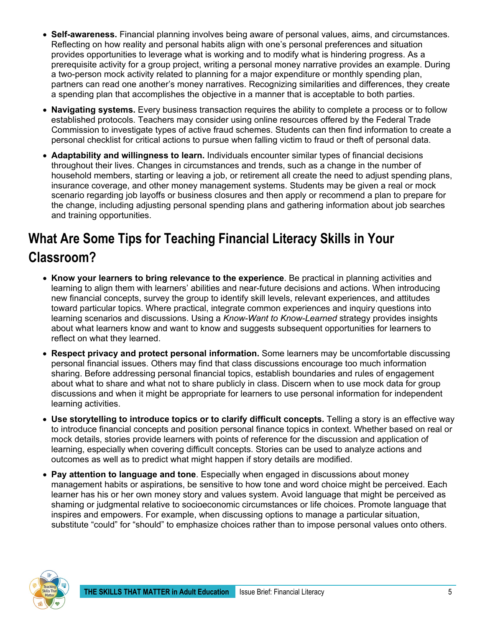- **Self-awareness.** Financial planning involves being aware of personal values, aims, and circumstances. Reflecting on how reality and personal habits align with one's personal preferences and situation provides opportunities to leverage what is working and to modify what is hindering progress. As a prerequisite activity for a group project, writing a personal money narrative provides an example. During a two-person mock activity related to planning for a major expenditure or monthly spending plan, partners can read one another's money narratives. Recognizing similarities and differences, they create a spending plan that accomplishes the objective in a manner that is acceptable to both parties.
- **Navigating systems.** Every business transaction requires the ability to complete a process or to follow established protocols. Teachers may consider using online resources offered by the Federal Trade Commission to investigate types of active fraud schemes. Students can then find information to create a personal checklist for critical actions to pursue when falling victim to fraud or theft of personal data.
- **Adaptability and willingness to learn.** Individuals encounter similar types of financial decisions throughout their lives. Changes in circumstances and trends, such as a change in the number of household members, starting or leaving a job, or retirement all create the need to adjust spending plans, insurance coverage, and other money management systems. Students may be given a real or mock scenario regarding job layoffs or business closures and then apply or recommend a plan to prepare for the change, including adjusting personal spending plans and gathering information about job searches and training opportunities.

# <span id="page-4-0"></span>**What Are Some Tips for Teaching Financial Literacy Skills in Your Classroom?**

- **Know your learners to bring relevance to the experience**. Be practical in planning activities and learning to align them with learners' abilities and near-future decisions and actions. When introducing new financial concepts, survey the group to identify skill levels, relevant experiences, and attitudes toward particular topics. Where practical, integrate common experiences and inquiry questions into learning scenarios and discussions. Using a *Know-Want to Know-Learned* strategy provides insights about what learners know and want to know and suggests subsequent opportunities for learners to reflect on what they learned.
- **Respect privacy and protect personal information.** Some learners may be uncomfortable discussing personal financial issues. Others may find that class discussions encourage too much information sharing. Before addressing personal financial topics, establish boundaries and rules of engagement about what to share and what not to share publicly in class. Discern when to use mock data for group discussions and when it might be appropriate for learners to use personal information for independent learning activities.
- **Use storytelling to introduce topics or to clarify difficult concepts.** Telling a story is an effective way to introduce financial concepts and position personal finance topics in context. Whether based on real or mock details, stories provide learners with points of reference for the discussion and application of learning, especially when covering difficult concepts. Stories can be used to analyze actions and outcomes as well as to predict what might happen if story details are modified.
- **Pay attention to language and tone**. Especially when engaged in discussions about money management habits or aspirations, be sensitive to how tone and word choice might be perceived. Each learner has his or her own money story and values system. Avoid language that might be perceived as shaming or judgmental relative to socioeconomic circumstances or life choices. Promote language that inspires and empowers. For example, when discussing options to manage a particular situation, substitute "could" for "should" to emphasize choices rather than to impose personal values onto others.

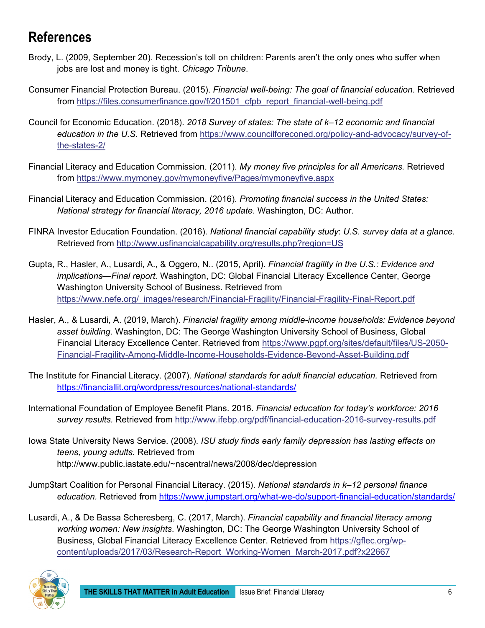## <span id="page-5-0"></span>**References**

- Brody, L. (2009, September 20). Recession's toll on children: Parents aren't the only ones who suffer when jobs are lost and money is tight. *Chicago Tribune*.
- Consumer Financial Protection Bureau. (2015). *Financial well-being: The goal of financial education*. Retrieved from [https://files.consumerfinance.gov/f/201501\\_cfpb\\_report\\_financial-well-being.pdf](https://files.consumerfinance.gov/f/201501_cfpb_report_financial-well-being.pdf)
- Council for Economic Education. (2018). *2018 Survey of states: The state of k–12 economic and financial education in the U.S.* Retrieved from [https://www.councilforeconed.org/policy-and-advocacy/survey-of](https://www.councilforeconed.org/policy-and-advocacy/survey-of-the-states-2/)[the-states-2/](https://www.councilforeconed.org/policy-and-advocacy/survey-of-the-states-2/)
- Financial Literacy and Education Commission. (2011). *My money five principles for all Americans.* Retrieved from<https://www.mymoney.gov/mymoneyfive/Pages/mymoneyfive.aspx>
- Financial Literacy and Education Commission. (2016). *Promoting financial success in the United States: National strategy for financial literacy, 2016 update*. Washington, DC: Author.
- FINRA Investor Education Foundation. (2016). *National financial capability study*: *U.S. survey data at a glance.*  Retrieved from<http://www.usfinancialcapability.org/results.php?region=US>
- Gupta, R., Hasler, A., Lusardi, A., & Oggero, N.. (2015, April). *Financial fragility in the U.S.: Evidence and implications—Final report.* Washington, DC: Global Financial Literacy Excellence Center, George Washington University School of Business. Retrieved from [https://www.nefe.org/\\_images/research/Financial-Fragility/Financial-Fragility-Final-Report.pdf](https://www.nefe.org/_images/research/Financial-Fragility/Financial-Fragility-Final-Report.pdf)
- Hasler, A., & Lusardi, A. (2019, March). *Financial fragility among middle-income households: Evidence beyond asset building*. Washington, DC: The George Washington University School of Business, Global Financial Literacy Excellence Center. Retrieved from [https://www.pgpf.org/sites/default/files/US-2050-](https://www.pgpf.org/sites/default/files/US-2050-Financial-Fragility-Among-Middle-Income-Households-Evidence-Beyond-Asset-Building.pdf) [Financial-Fragility-Among-Middle-Income-Households-Evidence-Beyond-Asset-Building.pdf](https://www.pgpf.org/sites/default/files/US-2050-Financial-Fragility-Among-Middle-Income-Households-Evidence-Beyond-Asset-Building.pdf)
- The Institute for Financial Literacy. (2007). *National standards for adult financial education.* Retrieved from <https://financiallit.org/wordpress/resources/national-standards/>
- International Foundation of Employee Benefit Plans. 2016. *Financial education for today's workforce: 2016 survey results.* Retrieved from<http://www.ifebp.org/pdf/financial-education-2016-survey-results.pdf>
- Iowa State University News Service. (2008). *ISU study finds early family depression has lasting effects on teens, young adults.* Retrieved from http://www.public.iastate.edu/~nscentral/news/2008/dec/depression
- Jump\$tart Coalition for Personal Financial Literacy. (2015). *National standards in k–12 personal finance*  education. Retrieved from https://www.jumpstart.org/what-we-do/support-financial-education/standards/
- Lusardi, A., & De Bassa Scheresberg, C. (2017, March). *Financial capability and financial literacy among working women: New insights*. Washington, DC: The George Washington University School of Business, Global Financial Literacy Excellence Center. Retrieved from [https://gflec.org/wp](https://gflec.org/wp-content/uploads/2017/03/Research-Report_Working-Women_March-2017.pdf?x22667)[content/uploads/2017/03/Research-Report\\_Working-Women\\_March-2017.pdf?x22667](https://gflec.org/wp-content/uploads/2017/03/Research-Report_Working-Women_March-2017.pdf?x22667)